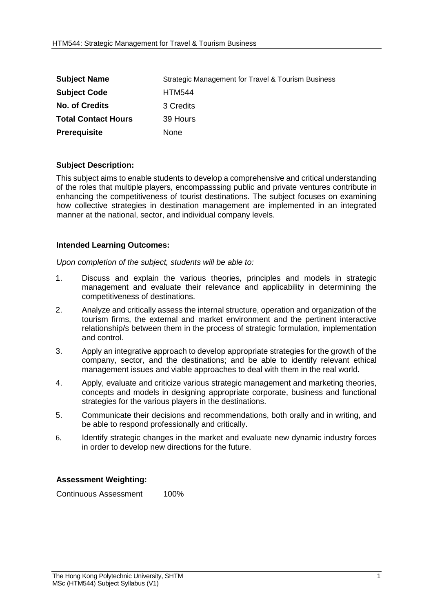| <b>Subject Name</b>        | Strategic Management for Travel & Tourism Business |
|----------------------------|----------------------------------------------------|
| <b>Subject Code</b>        | <b>HTM544</b>                                      |
| <b>No. of Credits</b>      | 3 Credits                                          |
| <b>Total Contact Hours</b> | 39 Hours                                           |
| <b>Prerequisite</b>        | None                                               |

## **Subject Description:**

This subject aims to enable students to develop a comprehensive and critical understanding of the roles that multiple players, encompasssing public and private ventures contribute in enhancing the competitiveness of tourist destinations. The subject focuses on examining how collective strategies in destination management are implemented in an integrated manner at the national, sector, and individual company levels.

## **Intended Learning Outcomes:**

*Upon completion of the subject, students will be able to:*

- 1. Discuss and explain the various theories, principles and models in strategic management and evaluate their relevance and applicability in determining the competitiveness of destinations.
- 2. Analyze and critically assess the internal structure, operation and organization of the tourism firms, the external and market environment and the pertinent interactive relationship/s between them in the process of strategic formulation, implementation and control.
- 3. Apply an integrative approach to develop appropriate strategies for the growth of the company, sector, and the destinations; and be able to identify relevant ethical management issues and viable approaches to deal with them in the real world.
- 4. Apply, evaluate and criticize various strategic management and marketing theories, concepts and models in designing appropriate corporate, business and functional strategies for the various players in the destinations.
- 5. Communicate their decisions and recommendations, both orally and in writing, and be able to respond professionally and critically.
- 6. Identify strategic changes in the market and evaluate new dynamic industry forces in order to develop new directions for the future.

## **Assessment Weighting:**

Continuous Assessment 100%